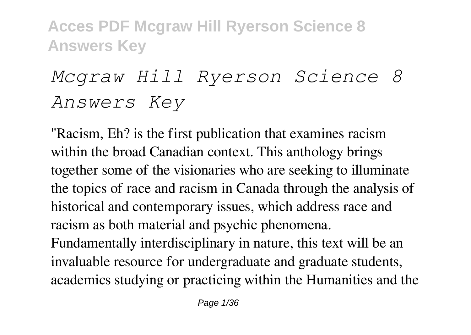# *Mcgraw Hill Ryerson Science 8 Answers Key*

"Racism, Eh? is the first publication that examines racism within the broad Canadian context. This anthology brings together some of the visionaries who are seeking to illuminate the topics of race and racism in Canada through the analysis of historical and contemporary issues, which address race and racism as both material and psychic phenomena. Fundamentally interdisciplinary in nature, this text will be an invaluable resource for undergraduate and graduate students, academics studying or practicing within the Humanities and the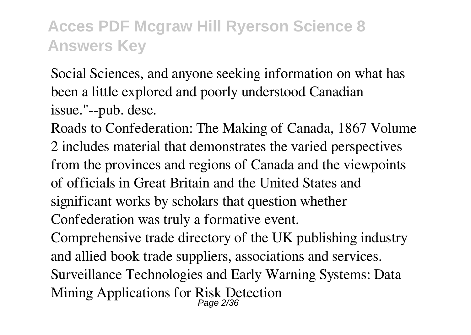Social Sciences, and anyone seeking information on what has been a little explored and poorly understood Canadian issue."--pub. desc.

Roads to Confederation: The Making of Canada, 1867 Volume 2 includes material that demonstrates the varied perspectives from the provinces and regions of Canada and the viewpoints of officials in Great Britain and the United States and significant works by scholars that question whether Confederation was truly a formative event.

Comprehensive trade directory of the UK publishing industry and allied book trade suppliers, associations and services. Surveillance Technologies and Early Warning Systems: Data Mining Applications for Risk Detection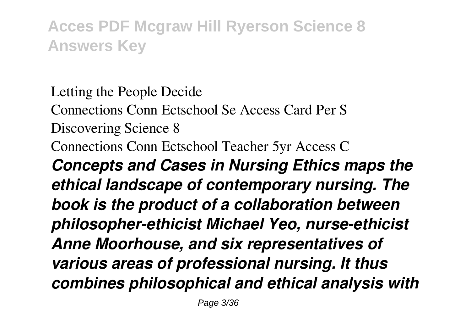Letting the People Decide Connections Conn Ectschool Se Access Card Per S Discovering Science 8 Connections Conn Ectschool Teacher 5yr Access C *Concepts and Cases in Nursing Ethics maps the ethical landscape of contemporary nursing. The book is the product of a collaboration between philosopher-ethicist Michael Yeo, nurse-ethicist Anne Moorhouse, and six representatives of various areas of professional nursing. It thus combines philosophical and ethical analysis with*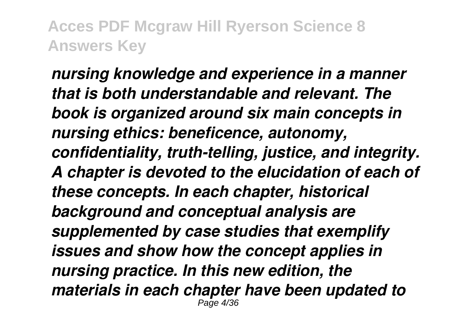*nursing knowledge and experience in a manner that is both understandable and relevant. The book is organized around six main concepts in nursing ethics: beneficence, autonomy, confidentiality, truth-telling, justice, and integrity. A chapter is devoted to the elucidation of each of these concepts. In each chapter, historical background and conceptual analysis are supplemented by case studies that exemplify issues and show how the concept applies in nursing practice. In this new edition, the materials in each chapter have been updated to* Page 4/36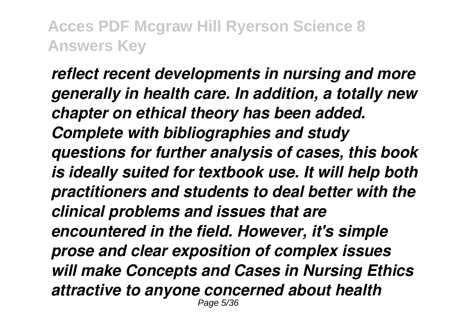*reflect recent developments in nursing and more generally in health care. In addition, a totally new chapter on ethical theory has been added. Complete with bibliographies and study questions for further analysis of cases, this book is ideally suited for textbook use. It will help both practitioners and students to deal better with the clinical problems and issues that are encountered in the field. However, it's simple prose and clear exposition of complex issues will make Concepts and Cases in Nursing Ethics attractive to anyone concerned about health* Page 5/36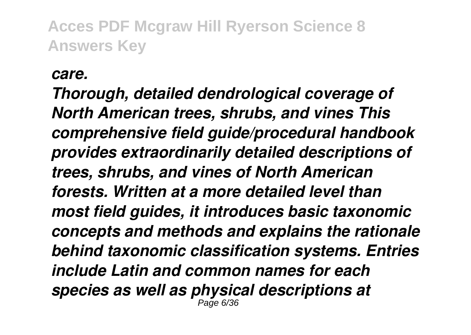#### *care.*

*Thorough, detailed dendrological coverage of North American trees, shrubs, and vines This comprehensive field guide/procedural handbook provides extraordinarily detailed descriptions of trees, shrubs, and vines of North American forests. Written at a more detailed level than most field guides, it introduces basic taxonomic concepts and methods and explains the rationale behind taxonomic classification systems. Entries include Latin and common names for each species as well as physical descriptions at* Page 6/36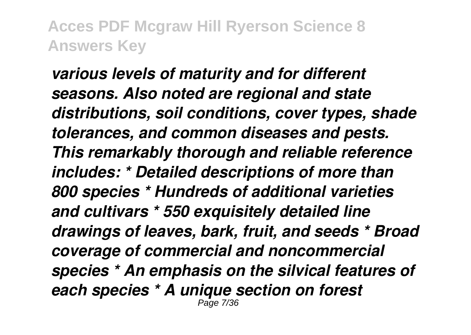*various levels of maturity and for different seasons. Also noted are regional and state distributions, soil conditions, cover types, shade tolerances, and common diseases and pests. This remarkably thorough and reliable reference includes: \* Detailed descriptions of more than 800 species \* Hundreds of additional varieties and cultivars \* 550 exquisitely detailed line drawings of leaves, bark, fruit, and seeds \* Broad coverage of commercial and noncommercial species \* An emphasis on the silvical features of each species \* A unique section on forest* Page 7/36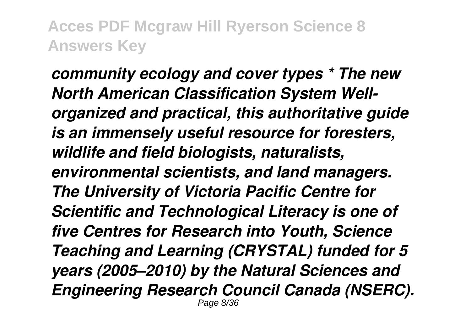*community ecology and cover types \* The new North American Classification System Wellorganized and practical, this authoritative guide is an immensely useful resource for foresters, wildlife and field biologists, naturalists, environmental scientists, and land managers. The University of Victoria Pacific Centre for Scientific and Technological Literacy is one of five Centres for Research into Youth, Science Teaching and Learning (CRYSTAL) funded for 5 years (2005–2010) by the Natural Sciences and Engineering Research Council Canada (NSERC).* Page 8/36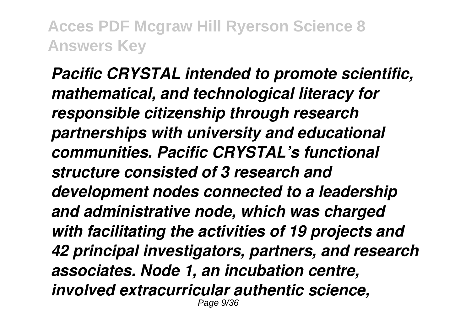*Pacific CRYSTAL intended to promote scientific, mathematical, and technological literacy for responsible citizenship through research partnerships with university and educational communities. Pacific CRYSTAL's functional structure consisted of 3 research and development nodes connected to a leadership and administrative node, which was charged with facilitating the activities of 19 projects and 42 principal investigators, partners, and research associates. Node 1, an incubation centre, involved extracurricular authentic science,* Page 9/36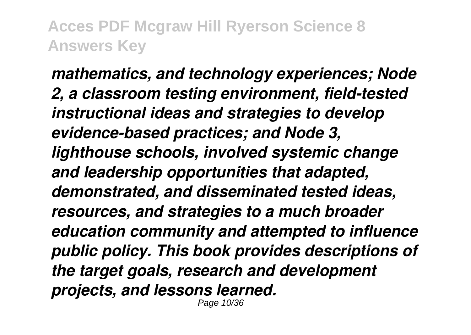*mathematics, and technology experiences; Node 2, a classroom testing environment, field-tested instructional ideas and strategies to develop evidence-based practices; and Node 3, lighthouse schools, involved systemic change and leadership opportunities that adapted, demonstrated, and disseminated tested ideas, resources, and strategies to a much broader education community and attempted to influence public policy. This book provides descriptions of the target goals, research and development projects, and lessons learned.*

Page 10/36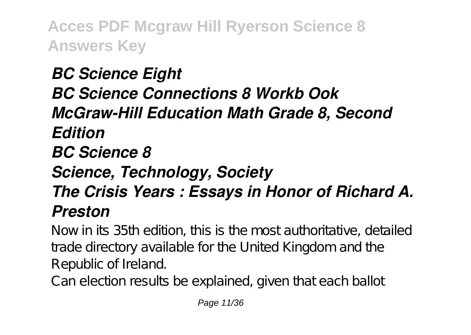# *BC Science Eight BC Science Connections 8 Workb Ook McGraw-Hill Education Math Grade 8, Second Edition BC Science 8 Science, Technology, Society The Crisis Years : Essays in Honor of Richard A. Preston*

Now in its 35th edition, this is the most authoritative, detailed trade directory available for the United Kingdom and the Republic of Ireland.

Can election results be explained, given that each ballot

Page 11/36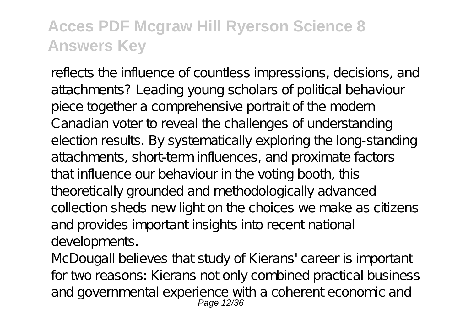reflects the influence of countless impressions, decisions, and attachments? Leading young scholars of political behaviour piece together a comprehensive portrait of the modern Canadian voter to reveal the challenges of understanding election results. By systematically exploring the long-standing attachments, short-term influences, and proximate factors that influence our behaviour in the voting booth, this theoretically grounded and methodologically advanced collection sheds new light on the choices we make as citizens and provides important insights into recent national developments.

McDougall believes that study of Kierans' career is important for two reasons: Kierans not only combined practical business and governmental experience with a coherent economic and Page 12/36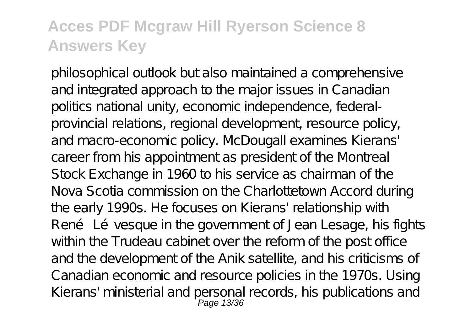philosophical outlook but also maintained a comprehensive and integrated approach to the major issues in Canadian politics national unity, economic independence, federalprovincial relations, regional development, resource policy, and macro-economic policy. McDougall examines Kierans' career from his appointment as president of the Montreal Stock Exchange in 1960 to his service as chairman of the Nova Scotia commission on the Charlottetown Accord during the early 1990s. He focuses on Kierans' relationship with René Lévesque in the government of Jean Lesage, his fights within the Trudeau cabinet over the reform of the post office and the development of the Anik satellite, and his criticisms of Canadian economic and resource policies in the 1970s. Using Kierans' ministerial and personal records, his publications and Page 13/36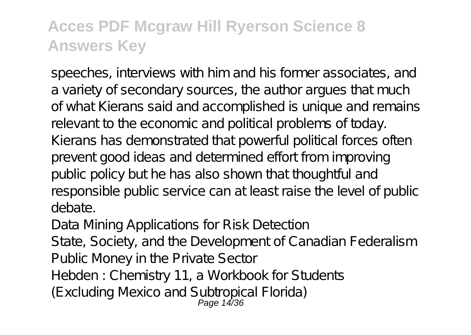speeches, interviews with him and his former associates, and a variety of secondary sources, the author argues that much of what Kierans said and accomplished is unique and remains relevant to the economic and political problems of today. Kierans has demonstrated that powerful political forces often prevent good ideas and determined effort from improving public policy but he has also shown that thoughtful and responsible public service can at least raise the level of public debate.

Data Mining Applications for Risk Detection

State, Society, and the Development of Canadian Federalism Public Money in the Private Sector

Hebden : Chemistry 11, a Workbook for Students

(Excluding Mexico and Subtropical Florida) Page 14/36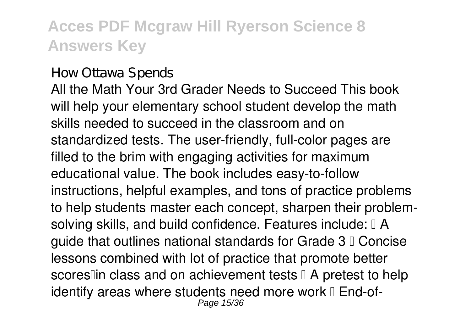#### How Ottawa Spends

All the Math Your 3rd Grader Needs to Succeed This book will help your elementary school student develop the math skills needed to succeed in the classroom and on standardized tests. The user-friendly, full-color pages are filled to the brim with engaging activities for maximum educational value. The book includes easy-to-follow instructions, helpful examples, and tons of practice problems to help students master each concept, sharpen their problemsolving skills, and build confidence. Features include:  $\mathbb{I}$  A guide that outlines national standards for Grade  $3<sub>0</sub>$  Concise lessons combined with lot of practice that promote better scores $\mathbb I$ in class and on achievement tests  $\mathbb I$  A pretest to help identify areas where students need more work  $\mathbb I$  End-of-Page 15/36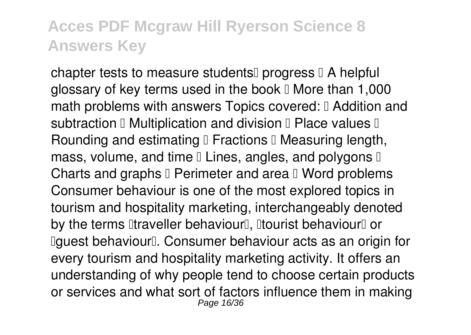chapter tests to measure students  $\Box$  progress  $\Box$  A helpful glossary of key terms used in the book  $\mathbb I$  More than 1,000 math problems with answers Topics covered: I Addition and subtraction  $\mathbb I$  Multiplication and division  $\mathbb I$  Place values  $\mathbb I$ Rounding and estimating I Fractions I Measuring length, mass, volume, and time  $\mathbb I$  Lines, angles, and polygons  $\mathbb I$ Charts and graphs  $\mathbb I$  Perimeter and area  $\mathbb I$  Word problems Consumer behaviour is one of the most explored topics in tourism and hospitality marketing, interchangeably denoted by the terms litraveller behaviourl, litourist behaviourl or Ilguest behaviour<sup>[]</sup>. Consumer behaviour acts as an origin for every tourism and hospitality marketing activity. It offers an understanding of why people tend to choose certain products or services and what sort of factors influence them in making Page 16/36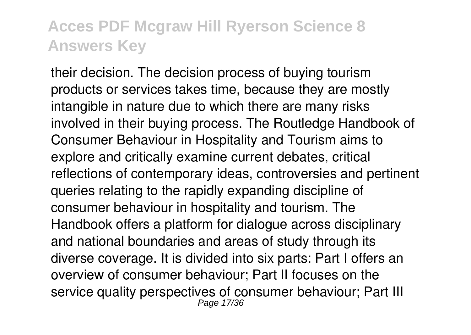their decision. The decision process of buying tourism products or services takes time, because they are mostly intangible in nature due to which there are many risks involved in their buying process. The Routledge Handbook of Consumer Behaviour in Hospitality and Tourism aims to explore and critically examine current debates, critical reflections of contemporary ideas, controversies and pertinent queries relating to the rapidly expanding discipline of consumer behaviour in hospitality and tourism. The Handbook offers a platform for dialogue across disciplinary and national boundaries and areas of study through its diverse coverage. It is divided into six parts: Part I offers an overview of consumer behaviour; Part II focuses on the service quality perspectives of consumer behaviour; Part III Page 17/36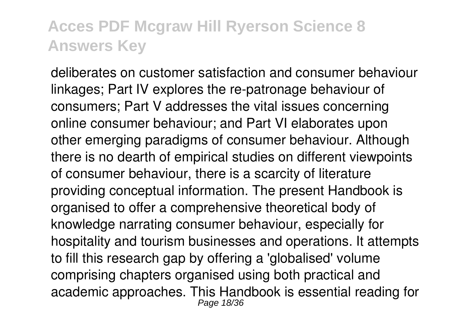deliberates on customer satisfaction and consumer behaviour linkages; Part IV explores the re-patronage behaviour of consumers; Part V addresses the vital issues concerning online consumer behaviour; and Part VI elaborates upon other emerging paradigms of consumer behaviour. Although there is no dearth of empirical studies on different viewpoints of consumer behaviour, there is a scarcity of literature providing conceptual information. The present Handbook is organised to offer a comprehensive theoretical body of knowledge narrating consumer behaviour, especially for hospitality and tourism businesses and operations. It attempts to fill this research gap by offering a 'globalised' volume comprising chapters organised using both practical and academic approaches. This Handbook is essential reading for Page 18/36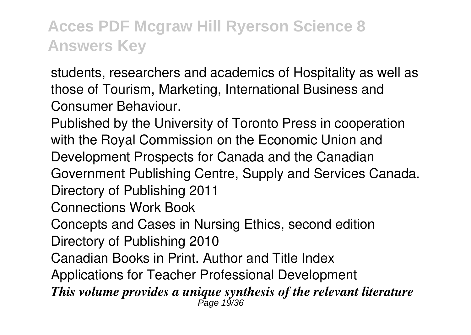students, researchers and academics of Hospitality as well as those of Tourism, Marketing, International Business and Consumer Behaviour.

Published by the University of Toronto Press in cooperation with the Royal Commission on the Economic Union and Development Prospects for Canada and the Canadian Government Publishing Centre, Supply and Services Canada. Directory of Publishing 2011 Connections Work Book

Concepts and Cases in Nursing Ethics, second edition Directory of Publishing 2010

Canadian Books in Print. Author and Title Index

Applications for Teacher Professional Development

*This volume provides a unique synthesis of the relevant literature* Page 19/36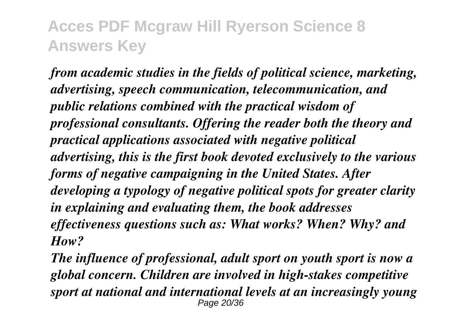*from academic studies in the fields of political science, marketing, advertising, speech communication, telecommunication, and public relations combined with the practical wisdom of professional consultants. Offering the reader both the theory and practical applications associated with negative political advertising, this is the first book devoted exclusively to the various forms of negative campaigning in the United States. After developing a typology of negative political spots for greater clarity in explaining and evaluating them, the book addresses effectiveness questions such as: What works? When? Why? and How?*

*The influence of professional, adult sport on youth sport is now a global concern. Children are involved in high-stakes competitive sport at national and international levels at an increasingly young* Page 20/36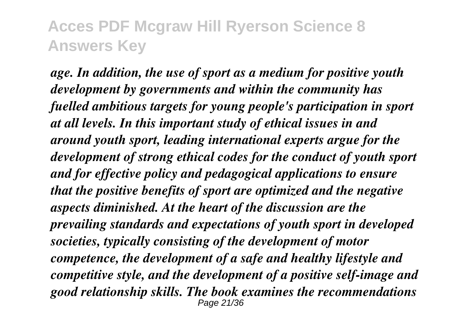*age. In addition, the use of sport as a medium for positive youth development by governments and within the community has fuelled ambitious targets for young people's participation in sport at all levels. In this important study of ethical issues in and around youth sport, leading international experts argue for the development of strong ethical codes for the conduct of youth sport and for effective policy and pedagogical applications to ensure that the positive benefits of sport are optimized and the negative aspects diminished. At the heart of the discussion are the prevailing standards and expectations of youth sport in developed societies, typically consisting of the development of motor competence, the development of a safe and healthy lifestyle and competitive style, and the development of a positive self-image and good relationship skills. The book examines the recommendations* Page 21/36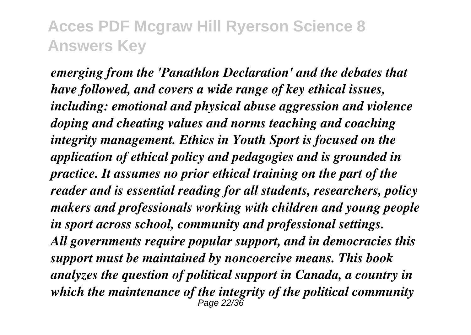*emerging from the 'Panathlon Declaration' and the debates that have followed, and covers a wide range of key ethical issues, including: emotional and physical abuse aggression and violence doping and cheating values and norms teaching and coaching integrity management. Ethics in Youth Sport is focused on the application of ethical policy and pedagogies and is grounded in practice. It assumes no prior ethical training on the part of the reader and is essential reading for all students, researchers, policy makers and professionals working with children and young people in sport across school, community and professional settings. All governments require popular support, and in democracies this support must be maintained by noncoercive means. This book analyzes the question of political support in Canada, a country in which the maintenance of the integrity of the political community* Page 22/36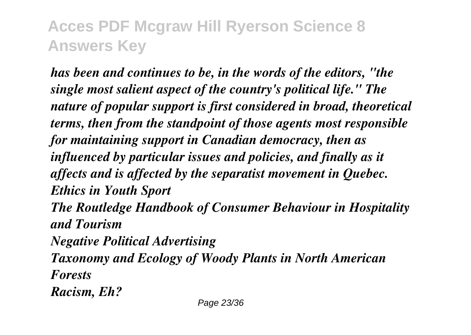*has been and continues to be, in the words of the editors, "the single most salient aspect of the country's political life." The nature of popular support is first considered in broad, theoretical terms, then from the standpoint of those agents most responsible for maintaining support in Canadian democracy, then as influenced by particular issues and policies, and finally as it affects and is affected by the separatist movement in Quebec. Ethics in Youth Sport The Routledge Handbook of Consumer Behaviour in Hospitality and Tourism Negative Political Advertising Taxonomy and Ecology of Woody Plants in North American Forests Racism, Eh?*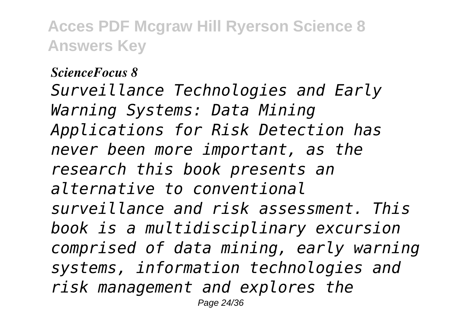*ScienceFocus 8 Surveillance Technologies and Early Warning Systems: Data Mining Applications for Risk Detection has never been more important, as the research this book presents an alternative to conventional surveillance and risk assessment. This book is a multidisciplinary excursion comprised of data mining, early warning systems, information technologies and risk management and explores the* Page 24/36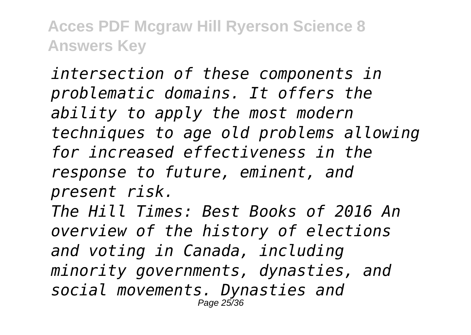*intersection of these components in problematic domains. It offers the ability to apply the most modern techniques to age old problems allowing for increased effectiveness in the response to future, eminent, and present risk. The Hill Times: Best Books of 2016 An overview of the history of elections and voting in Canada, including minority governments, dynasties, and social movements. Dynasties and* Page 25/36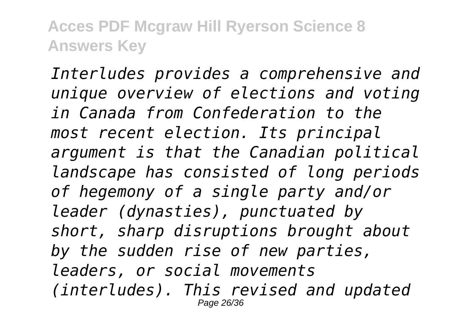*Interludes provides a comprehensive and unique overview of elections and voting in Canada from Confederation to the most recent election. Its principal argument is that the Canadian political landscape has consisted of long periods of hegemony of a single party and/or leader (dynasties), punctuated by short, sharp disruptions brought about by the sudden rise of new parties, leaders, or social movements (interludes). This revised and updated* Page 26/36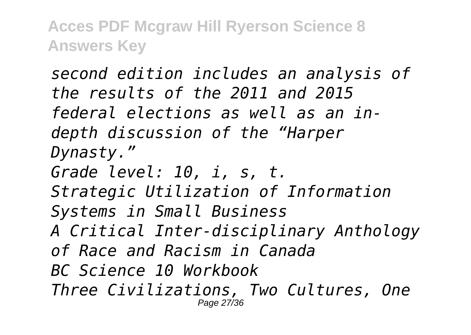*second edition includes an analysis of the results of the 2011 and 2015 federal elections as well as an indepth discussion of the "Harper Dynasty." Grade level: 10, i, s, t. Strategic Utilization of Information Systems in Small Business A Critical Inter-disciplinary Anthology of Race and Racism in Canada BC Science 10 Workbook Three Civilizations, Two Cultures, One* Page 27/36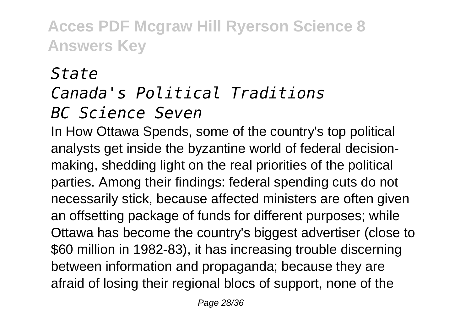# *State*

#### *Canada's Political Traditions BC Science Seven*

In How Ottawa Spends, some of the country's top political analysts get inside the byzantine world of federal decisionmaking, shedding light on the real priorities of the political parties. Among their findings: federal spending cuts do not necessarily stick, because affected ministers are often given an offsetting package of funds for different purposes; while Ottawa has become the country's biggest advertiser (close to \$60 million in 1982-83), it has increasing trouble discerning between information and propaganda; because they are afraid of losing their regional blocs of support, none of the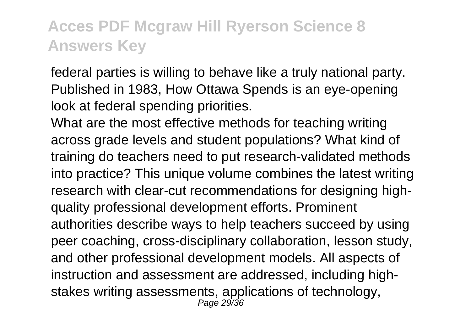federal parties is willing to behave like a truly national party. Published in 1983, How Ottawa Spends is an eye-opening look at federal spending priorities.

What are the most effective methods for teaching writing across grade levels and student populations? What kind of training do teachers need to put research-validated methods into practice? This unique volume combines the latest writing research with clear-cut recommendations for designing highquality professional development efforts. Prominent authorities describe ways to help teachers succeed by using peer coaching, cross-disciplinary collaboration, lesson study, and other professional development models. All aspects of instruction and assessment are addressed, including highstakes writing assessments, applications of technology, Page 29/36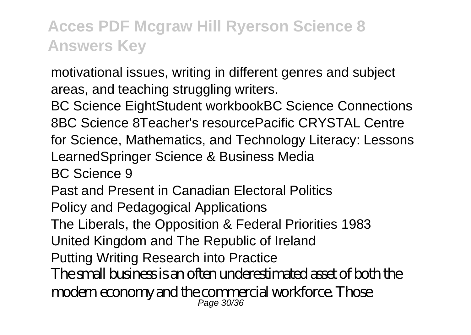motivational issues, writing in different genres and subject areas, and teaching struggling writers.

BC Science EightStudent workbookBC Science Connections 8BC Science 8Teacher's resourcePacific CRYSTAL Centre for Science, Mathematics, and Technology Literacy: Lessons LearnedSpringer Science & Business Media

BC Science 9

Past and Present in Canadian Electoral Politics

Policy and Pedagogical Applications

The Liberals, the Opposition & Federal Priorities 1983

United Kingdom and The Republic of Ireland

Putting Writing Research into Practice

The small business is an often underestimated asset of both the modern economy and the commercial workforce. Those Page 30/36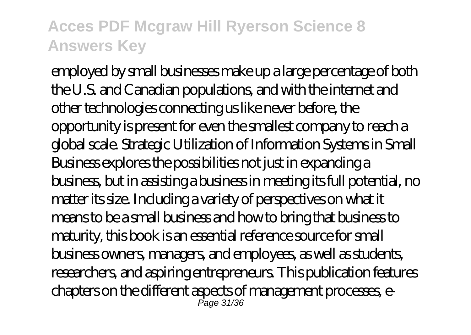employed by small businesses make up a large percentage of both the U.S. and Canadian populations, and with the internet and other technologies connecting us like never before, the opportunity is present for even the smallest company to reach a global scale. Strategic Utilization of Information Systems in Small Business explores the possibilities not just in expanding a business, but in assisting a business in meeting its full potential, no matter its size. Including a variety of perspectives on what it means to be a small business and how to bring that business to maturity, this book is an essential reference source for small business owners, managers, and employees, as well as students, researchers, and aspiring entrepreneurs. This publication features chapters on the different aspects of management processes, e-Page 31/36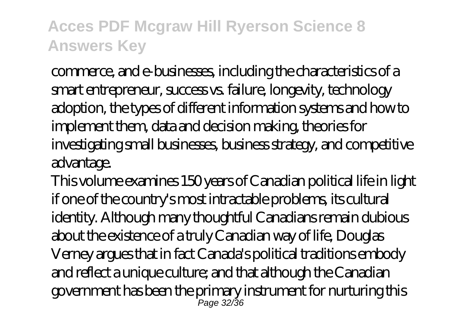commerce, and e-businesses, including the characteristics of a smart entrepreneur, success vs. failure, longevity, technology adoption, the types of different information systems and how to implement them, data and decision making, theories for investigating small businesses, business strategy, and competitive advantage.

This volume examines 150 years of Canadian political life in light if one of the country's most intractable problems, its cultural identity. Although many thoughtful Canadians remain dubious about the existence of a truly Canadian way of life, Douglas Verney argues that in fact Canada's political traditions embody and reflect a unique culture; and that although the Canadian government has been the primary instrument for nurturing this Page 32/36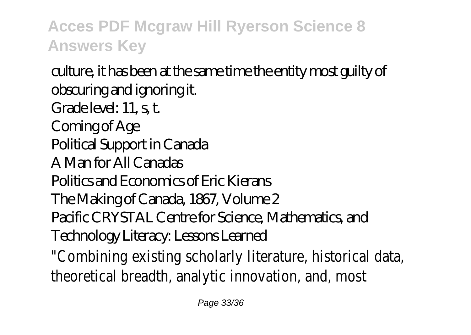culture, it has been at the same time the entity most guilty of obscuring and ignoring it. Grade level: 11, s, t. Coming of Age Political Support in Canada A Man for All Canadas Politics and Economics of Eric Kierans The Making of Canada, 1867, Volume 2 Pacific CRYSTAL Centre for Science, Mathematics, and Technology Literacy: Lessons Learned "Combining existing scholarly literature, historical data, theoretical breadth, analytic innovation, and, most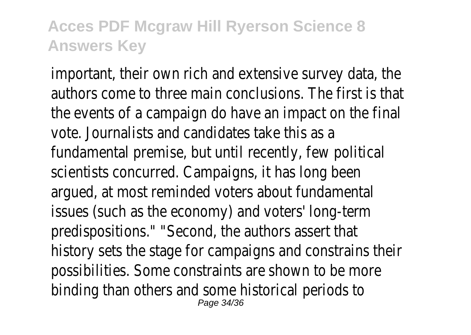important, their own rich and extensive survey data, the authors come to three main conclusions. The first is that the events of a campaign do have an impact on the final vote. Journalists and candidates take this as a fundamental premise, but until recently, few political scientists concurred. Campaigns, it has long been argued, at most reminded voters about fundamental issues (such as the economy) and voters' long-term predispositions." "Second, the authors assert that history sets the stage for campaigns and constrains their possibilities. Some constraints are shown to be more binding than others and some historical periods to Page 34/36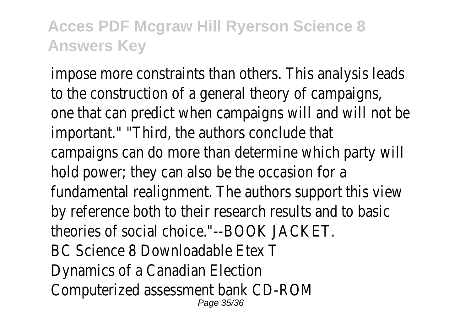impose more constraints than others. This analysis leads to the construction of a general theory of campaigns, one that can predict when campaigns will and will not be important." "Third, the authors conclude that campaigns can do more than determine which party will hold power; they can also be the occasion for a fundamental realignment. The authors support this view by reference both to their research results and to basic theories of social choice."--BOOK JACKET. BC Science 8 Downloadable Etex T Dynamics of a Canadian Election Computerized assessment bank CD-ROM Page 35/36